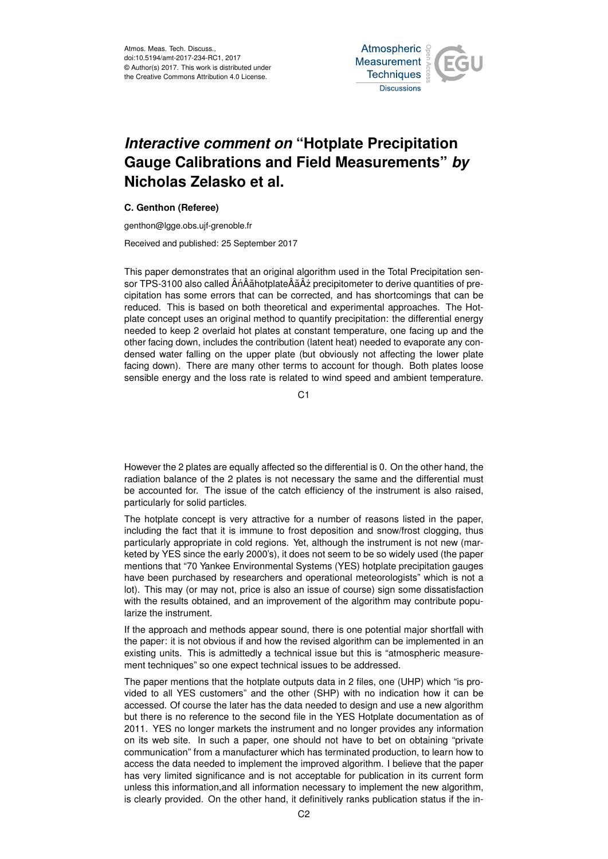Atmos. Meas. Tech. Discuss., doi:10.5194/amt-2017-234-RC1, 2017 © Author(s) 2017. This work is distributed under the Creative Commons Attribution 4.0 License.



## *Interactive comment on* **"Hotplate Precipitation Gauge Calibrations and Field Measurements"** *by* **Nicholas Zelasko et al.**

## **C. Genthon (Referee)**

genthon@lgge.obs.ujf-grenoble.fr

Received and published: 25 September 2017

This paper demonstrates that an original algorithm used in the Total Precipitation sensor TPS-3100 also called  $\hat{A}$ n $\hat{A}$ ăhotplate $\hat{A}$ ä $\hat{A}$ ż precipitometer to derive quantities of precipitation has some errors that can be corrected, and has shortcomings that can be reduced. This is based on both theoretical and experimental approaches. The Hotplate concept uses an original method to quantify precipitation: the differential energy needed to keep 2 overlaid hot plates at constant temperature, one facing up and the other facing down, includes the contribution (latent heat) needed to evaporate any condensed water falling on the upper plate (but obviously not affecting the lower plate facing down). There are many other terms to account for though. Both plates loose sensible energy and the loss rate is related to wind speed and ambient temperature.

C<sub>1</sub>

However the 2 plates are equally affected so the differential is 0. On the other hand, the radiation balance of the 2 plates is not necessary the same and the differential must be accounted for. The issue of the catch efficiency of the instrument is also raised, particularly for solid particles.

The hotplate concept is very attractive for a number of reasons listed in the paper, including the fact that it is immune to frost deposition and snow/frost clogging, thus particularly appropriate in cold regions. Yet, although the instrument is not new (marketed by YES since the early 2000's), it does not seem to be so widely used (the paper mentions that "70 Yankee Environmental Systems (YES) hotplate precipitation gauges have been purchased by researchers and operational meteorologists" which is not a lot). This may (or may not, price is also an issue of course) sign some dissatisfaction with the results obtained, and an improvement of the algorithm may contribute popularize the instrument.

If the approach and methods appear sound, there is one potential major shortfall with the paper: it is not obvious if and how the revised algorithm can be implemented in an existing units. This is admittedly a technical issue but this is "atmospheric measurement techniques" so one expect technical issues to be addressed.

The paper mentions that the hotplate outputs data in 2 files, one (UHP) which "is provided to all YES customers" and the other (SHP) with no indication how it can be accessed. Of course the later has the data needed to design and use a new algorithm but there is no reference to the second file in the YES Hotplate documentation as of 2011. YES no longer markets the instrument and no longer provides any information on its web site. In such a paper, one should not have to bet on obtaining "private communication" from a manufacturer which has terminated production, to learn how to access the data needed to implement the improved algorithm. I believe that the paper has very limited significance and is not acceptable for publication in its current form unless this information,and all information necessary to implement the new algorithm, is clearly provided. On the other hand, it definitively ranks publication status if the in